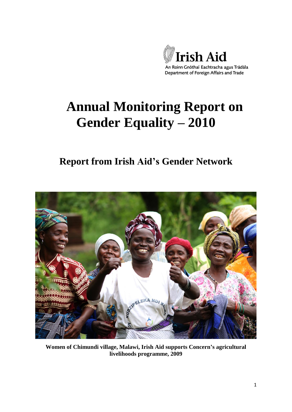

# **Annual Monitoring Report on Gender Equality – 2010**

# **Report from Irish Aid's Gender Network**



**Women of Chimundi village, Malawi, Irish Aid supports Concern's agricultural livelihoods programme, 2009**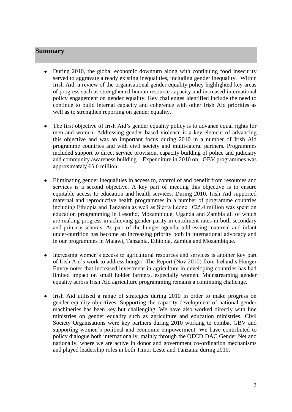#### **Summary**

- $\bullet$ During 2010, the global economic downturn along with continuing food insecurity served to aggravate already existing inequalities, including gender inequality. Within Irish Aid, a review of the organisational gender equality policy highlighted key areas of progress such as strengthened human resource capacity and increased international policy engagement on gender equality. Key challenges identified include the need to continue to build internal capacity and coherence with other Irish Aid priorities as well as to strengthen reporting on gender equality.
- The first objective of Irish Aid"s gender equality policy is to advance equal rights for  $\bullet$ men and women. Addressing gender–based violence is a key element of advancing this objective and was an important focus during 2010 in a number of Irish Aid programme countries and with civil society and multi-lateral partners. Programmes included support to direct service provision, capacity building of police and judiciary and community awareness building. Expenditure in 2010 on GBV programmes was approximately  $63.6$  million.
- Eliminating gender inequalities in access to, control of and benefit from resources and  $\bullet$ services is a second objective. A key part of meeting this objective is to ensure equitable access to education and health services. During 2010, Irish Aid supported maternal and reproductive health programmes in a number of programme countries including Ethiopia and Tanzania as well as Sierra Leone. €25.4 million was spent on education programming in Lesotho, Mozambique, Uganda and Zambia all of which are making progress in achieving gender parity in enrolment rates in both secondary and primary schools. As part of the hunger agenda, addressing maternal and infant under-nutrition has become an increasing priority both in international advocacy and in our programmes in Malawi, Tanzania, Ethiopia, Zambia and Mozambique.
- Increasing women"s access to agricultural resources and services is another key part  $\bullet$ of Irish Aid"s work to address hunger. The Report (Nov 2010) from Ireland"s Hunger Envoy notes that increased investment in agriculture in developing countries has had limited impact on small holder farmers, especially women. Mainstreaming gender equality across Irish Aid agriculture programming remains a continuing challenge.
- Irish Aid utilised a range of strategies during 2010 in order to make progress on  $\bullet$ gender equality objectives. Supporting the capacity development of national gender machineries has been key but challenging. We have also worked directly with line ministries on gender equality such as agriculture and education ministries. Civil Society Organisations were key partners during 2010 working to combat GBV and supporting women"s political and economic empowerment. We have contributed to policy dialogue both internationally, mainly through the OECD DAC Gender Net and nationally, where we are active in donor and government co-ordination mechanisms and played leadership roles in both Timor Leste and Tanzania during 2010.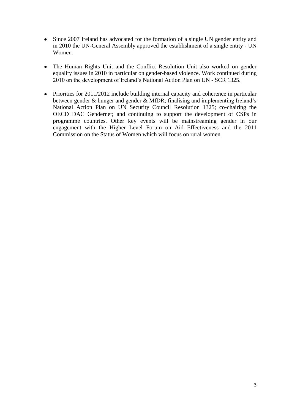- Since 2007 Ireland has advocated for the formation of a single UN gender entity and in 2010 the UN-General Assembly approved the establishment of a single entity - UN Women.
- The Human Rights Unit and the Conflict Resolution Unit also worked on gender equality issues in 2010 in particular on gender-based violence. Work continued during 2010 on the development of Ireland"s National Action Plan on UN - SCR 1325.
- Priorities for 2011/2012 include building internal capacity and coherence in particular between gender & hunger and gender & MfDR; finalising and implementing Ireland"s National Action Plan on UN Security Council Resolution 1325; co-chairing the OECD DAC Gendernet; and continuing to support the development of CSPs in programme countries. Other key events will be mainstreaming gender in our engagement with the Higher Level Forum on Aid Effectiveness and the 2011 Commission on the Status of Women which will focus on rural women.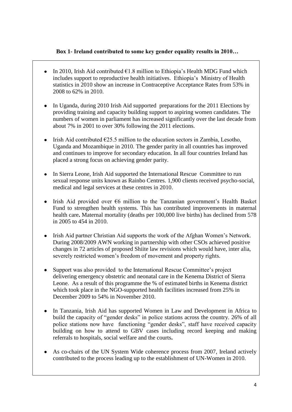#### **Box 1- Ireland contributed to some key gender equality results in 2010…**

- In 2010, Irish Aid contributed  $61.8$  million to Ethiopia's Health MDG Fund which includes support to reproductive health initiatives. Ethiopia"s Ministry of Health statistics in 2010 show an increase in Contraceptive Acceptance Rates from 53% in 2008 to 62% in 2010.
- In Uganda, during 2010 Irish Aid supported preparations for the 2011 Elections by providing training and capacity building support to aspiring women candidates. The numbers of women in parliament has increased significantly over the last decade from about 7% in 2001 to over 30% following the 2011 elections.
- Irish Aid contributed  $E$ 25.5 million to the education sectors in Zambia, Lesotho, Uganda and Mozambique in 2010. The gender parity in all countries has improved and continues to improve for secondary education. In all four countries Ireland has placed a strong focus on achieving gender parity.
- In Sierra Leone, Irish Aid supported the International Rescue Committee to run  $\bullet$ sexual response units known as Rainbo Centres. 1,900 clients received psycho-social, medical and legal services at these centres in 2010.
- Irish Aid provided over  $\epsilon$ 6 million to the Tanzanian government's Health Basket  $\bullet$ Fund to strengthen health systems. This has contributed improvements in maternal health care**.** Maternal mortality (deaths per 100,000 live births) has declined from 578 in 2005 to 454 in 2010.
- $\bullet$ Irish Aid partner Christian Aid supports the work of the Afghan Women"s Network. During 2008/2009 AWN working in partnership with other CSOs achieved positive changes in 72 articles of proposed Shiite law revisions which would have, inter alia, severely restricted women's freedom of movement and property rights.
- $\bullet$ Support was also provided to the International Rescue Committee's project delivering emergency obstetric and neonatal care in the Kenema District of Sierra Leone. As a result of this programme the % of estimated births in Kenema district which took place in the NGO-supported health facilities increased from 25% in December 2009 to 54% in November 2010.
- $\bullet$ In Tanzania, Irish Aid has supported Women in Law and Development in Africa to build the capacity of "gender desks" in police stations across the country. 26% of all police stations now have functioning "gender desks", staff have received capacity building on how to attend to GBV cases including record keeping and making referrals to hospitals, social welfare and the courts**.**
- As co-chairs of the UN System Wide coherence process from 2007, Ireland actively contributed to the process leading up to the establishment of UN-Women in 2010.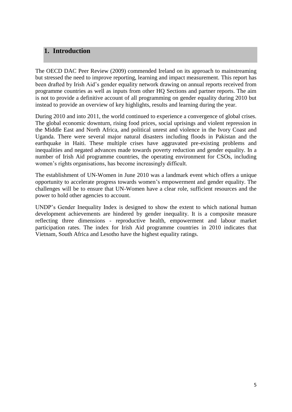# **1. Introduction**

The OECD DAC Peer Review (2009) commended Ireland on its approach to mainstreaming but stressed the need to improve reporting, learning and impact measurement. This report has been drafted by Irish Aid"s gender equality network drawing on annual reports received from programme countries as well as inputs from other HQ Sections and partner reports. The aim is not to provide a definitive account of all programming on gender equality during 2010 but instead to provide an overview of key highlights, results and learning during the year.

During 2010 and into 2011, the world continued to experience a convergence of global crises. The global economic downturn, rising food prices, social uprisings and violent repression in the Middle East and North Africa, and political unrest and violence in the Ivory Coast and Uganda. There were several major natural disasters including floods in Pakistan and the earthquake in Haiti. These multiple crises have aggravated pre-existing problems and inequalities and negated advances made towards poverty reduction and gender equality. In a number of Irish Aid programme countries, the operating environment for CSOs, including women"s rights organisations, has become increasingly difficult.

The establishment of UN-Women in June 2010 was a landmark event which offers a unique opportunity to accelerate progress towards women"s empowerment and gender equality. The challenges will be to ensure that UN-Women have a clear role, sufficient resources and the power to hold other agencies to account.

UNDP"s Gender Inequality Index is designed to show the extent to which national human development achievements are hindered by gender inequality. It is a composite measure reflecting three dimensions - reproductive health, empowerment and labour market participation rates. The index for Irish Aid programme countries in 2010 indicates that Vietnam, South Africa and Lesotho have the highest equality ratings.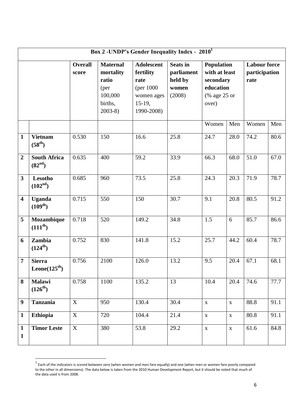| Box 2 -UNDP's Gender Inequality Index - 2010 <sup>1</sup> |                                            |                         |                                                                                 |                                                                                               |                                                             |                                                                                       |             |                                              |      |
|-----------------------------------------------------------|--------------------------------------------|-------------------------|---------------------------------------------------------------------------------|-----------------------------------------------------------------------------------------------|-------------------------------------------------------------|---------------------------------------------------------------------------------------|-------------|----------------------------------------------|------|
|                                                           |                                            | <b>Overall</b><br>score | <b>Maternal</b><br>mortality<br>ratio<br>(per<br>100,000<br>births,<br>$2003-8$ | <b>Adolescent</b><br>fertility<br>rate<br>(per $1000$<br>women ages<br>$15-19,$<br>1990-2008) | <b>Seats in</b><br>parliament<br>held by<br>women<br>(2008) | <b>Population</b><br>with at least<br>secondary<br>education<br>(% age 25 or<br>over) |             | <b>Labour force</b><br>participation<br>rate |      |
|                                                           |                                            |                         |                                                                                 |                                                                                               |                                                             | Women                                                                                 | Men         | Women                                        | Men  |
| $\mathbf{1}$                                              | <b>Vietnam</b><br>$(58^{th})$              | 0.530                   | 150                                                                             | 16.6                                                                                          | 25.8                                                        | 24.7                                                                                  | 28.0        | 74.2                                         | 80.6 |
| $\overline{2}$                                            | <b>South Africa</b><br>(82 <sup>nd</sup> ) | 0.635                   | 400                                                                             | 59.2                                                                                          | 33.9                                                        | 66.3                                                                                  | 68.0        | 51.0                                         | 67.0 |
| $\overline{\mathbf{3}}$                                   | Lesotho<br>(102 <sup>nd</sup> )            | 0.685                   | 960                                                                             | 73.5                                                                                          | 25.8                                                        | 24.3                                                                                  | 20.3        | 71.9                                         | 78.7 |
| $\overline{\mathbf{4}}$                                   | <b>Uganda</b><br>$(109^{th})$              | 0.715                   | 550                                                                             | 150                                                                                           | 30.7                                                        | 9.1                                                                                   | 20.8        | 80.5                                         | 91.2 |
| 5                                                         | Mozambique<br>$(111^{th})$                 | 0.718                   | 520                                                                             | 149.2                                                                                         | 34.8                                                        | 1.5                                                                                   | 6           | 85.7                                         | 86.6 |
| 6                                                         | Zambia<br>$(124^{th})$                     | 0.752                   | 830                                                                             | 141.8                                                                                         | 15.2                                                        | 25.7                                                                                  | 44.2        | 60.4                                         | 78.7 |
| $\overline{7}$                                            | <b>Sierra</b><br>Leone $(125^{\text{th}})$ | 0.756                   | 2100                                                                            | 126.0                                                                                         | 13.2                                                        | 9.5                                                                                   | 20.4        | 67.1                                         | 68.1 |
| 8                                                         | <b>Malawi</b><br>$(126^{th})$              | 0.758                   | 1100                                                                            | 135.2                                                                                         | 13                                                          | 10.4                                                                                  | 20.4        | 74.6                                         | 77.7 |
| 9                                                         | <b>Tanzania</b>                            | X                       | 950                                                                             | 130.4                                                                                         | 30.4                                                        | $\mathbf X$                                                                           | $\mathbf X$ | 88.8                                         | 91.1 |
| $\mathbf{1}$                                              | Ethiopia                                   | $\mathbf X$             | 720                                                                             | 104.4                                                                                         | 21.4                                                        | $\mathbf X$                                                                           | $\mathbf X$ | 80.8                                         | 91.1 |
| $\mathbf{1}$<br>$\mathbf{1}$                              | <b>Timor Leste</b>                         | $\mathbf X$             | 380                                                                             | 53.8                                                                                          | 29.2                                                        | $\mathbf X$                                                                           | $\mathbf X$ | 61.6                                         | 84.8 |

 1 Each of the indicators is scored between zero (when women and men fare equally) and one (when men or women fare poorly compared to the other in all dimensions). The data below is taken from the 2010 Human Development Report, but it should be noted that much of the data used is from 2008.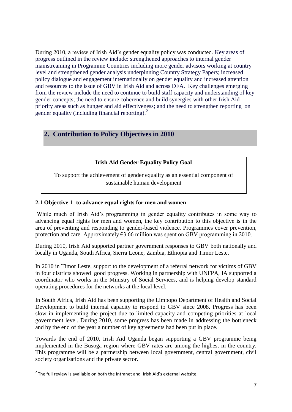During 2010, a review of Irish Aid"s gender equality policy was conducted. Key areas of progress outlined in the review include: strengthened approaches to internal gender mainstreaming in Programme Countries including more gender advisors working at country level and strengthened gender analysis underpinning Country Strategy Papers; increased policy dialogue and engagement internationally on gender equality and increased attention and resources to the issue of GBV in Irish Aid and across DFA. Key challenges emerging from the review include the need to continue to build staff capacity and understanding of key gender concepts; the need to ensure coherence and build synergies with other Irish Aid priority areas such as hunger and aid effectiveness; and the need to strengthen reporting on gender equality (including financial reporting). $^{2}$ 

# **2. Contribution to Policy Objectives in 2010**

#### **Irish Aid Gender Equality Policy Goal**

To support the achievement of gender equality as an essential component of sustainable human development

#### **2.1 Objective 1- to advance equal rights for men and women**

While much of Irish Aid"s programming in gender equality contributes in some way to advancing equal rights for men and women, the key contribution to this objective is in the area of preventing and responding to gender-based violence. Programmes cover prevention, protection and care. Approximately  $\epsilon$ 3.66 million was spent on GBV programming in 2010.

During 2010, Irish Aid supported partner government responses to GBV both nationally and locally in Uganda, South Africa, Sierra Leone, Zambia, Ethiopia and Timor Leste.

In 2010 in Timor Leste, support to the development of a referral network for victims of GBV in four districts showed good progress. Working in partnership with UNFPA, IA supported a coordinator who works in the Ministry of Social Services, and is helping develop standard operating procedures for the networks at the local level.

In South Africa, Irish Aid has been supporting the Limpopo Department of Health and Social Development to build internal capacity to respond to GBV since 2008. Progress has been slow in implementing the project due to limited capacity and competing priorities at local government level. During 2010, some progress has been made in addressing the bottleneck and by the end of the year a number of key agreements had been put in place.

Towards the end of 2010, Irish Aid Uganda began supporting a GBV programme being implemented in the Busoga region where GBV rates are among the highest in the country. This programme will be a partnership between local government, central government, civil society organisations and the private sector.

**THE 1888**<br>The full review is available on both the Intranet and Irish Aid's external website.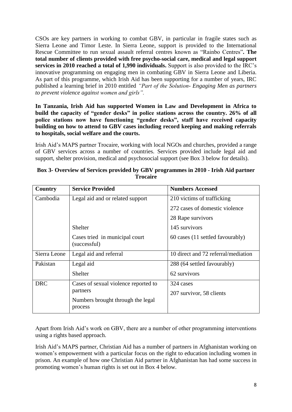CSOs are key partners in working to combat GBV, in particular in fragile states such as Sierra Leone and Timor Leste. In Sierra Leone, support is provided to the International Rescue Committee to run sexual assault referral centres known as "Rainbo Centres"**. The total number of clients provided with free psycho-social care, medical and legal support services in 2010 reached a total of 1,990 individuals.** Support is also provided to the IRC"s innovative programming on engaging men in combating GBV in Sierra Leone and Liberia. As part of this programme, which Irish Aid has been supporting for a number of years, IRC published a learning brief in 2010 entitled *"Part of the Solution- Engaging Men as partners to prevent violence against women and girls".*

**In Tanzania, Irish Aid has supported Women in Law and Development in Africa to build the capacity of "gender desks" in police stations across the country. 26% of all police stations now have functioning "gender desks", staff have received capacity building on how to attend to GBV cases including record keeping and making referrals to hospitals, social welfare and the courts.**

Irish Aid"s MAPS partner Trocaire, working with local NGOs and churches, provided a range of GBV services across a number of countries. Services provided include legal aid and support, shelter provision, medical and psychosocial support (see Box 3 below for details).

| Country      | <b>Service Provided</b>                        | <b>Numbers Accessed</b>             |
|--------------|------------------------------------------------|-------------------------------------|
| Cambodia     | Legal aid and or related support               | 210 victims of trafficking          |
|              |                                                | 272 cases of domestic violence      |
|              |                                                | 28 Rape survivors                   |
|              | Shelter                                        | 145 survivors                       |
|              | Cases tried in municipal court<br>(successful) | 60 cases (11 settled favourably)    |
| Sierra Leone | Legal aid and referral                         | 10 direct and 72 referral/mediation |
| Pakistan     | Legal aid                                      | 288 (64 settled favourably)         |
|              | <b>Shelter</b>                                 | 62 survivors                        |
| <b>DRC</b>   | Cases of sexual violence reported to           | 324 cases                           |
|              | partners                                       | 207 survivor, 58 clients            |
|              | Numbers brought through the legal              |                                     |
|              | process                                        |                                     |

#### **Box 3- Overview of Services provided by GBV programmes in 2010 - Irish Aid partner Trocaire**

Apart from Irish Aid"s work on GBV, there are a number of other programming interventions using a rights based approach.

Irish Aid"s MAPS partner, Christian Aid has a number of partners in Afghanistan working on women"s empowerment with a particular focus on the right to education including women in prison. An example of how one Christian Aid partner in Afghanistan has had some success in promoting women"s human rights is set out in Box 4 below.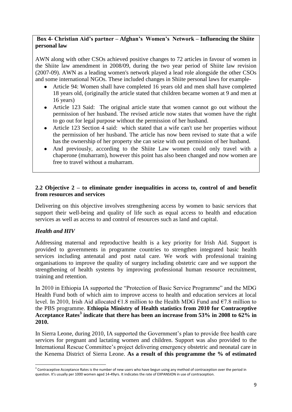#### **Box 4- Christian Aid's partner – Afghan's Women's Network – Influencing the Shiite personal law**

AWN along with other CSOs achieved positive changes to 72 articles in favour of women in the Shiite law amendment in 2008/09, during the two year period of Shiite law revision (2007-09). AWN as a leading women's network played a lead role alongside the other CSOs and some international NGOs. These included changes in Shiite personal laws for example-

- Article 94: Women shall have completed 16 years old and men shall have completed 18 years old, (originally the article stated that children became women at 9 and men at 16 years)
- Article 123 Said: The original article state that women cannot go out without the permission of her husband. The revised article now states that women have the right to go out for legal purpose without the permission of her husband.
- Article 123 Section 4 said: which stated that a wife can't use her properties without  $\bullet$ the permission of her husband. The article has now been revised to state that a wife has the ownership of her property she can seize with out permission of her husband.
- And previously, according to the Shiite Law women could only travel with a chaperone (muharram), however this point has also been changed and now women are free to travel without a muharram.

#### **2.2 Objective 2 – to eliminate gender inequalities in access to, control of and benefit from resources and services**

Delivering on this objective involves strengthening access by women to basic services that support their well-being and quality of life such as equal access to health and education services as well as access to and control of resources such as land and capital.

#### *Health and HIV*

1

Addressing maternal and reproductive health is a key priority for Irish Aid. Support is provided to governments in programme countries to strengthen integrated basic health services including antenatal and post natal care. We work with professional training organisations to improve the quality of surgery including obstetric care and we support the strengthening of health systems by improving professional human resource recruitment, training and retention.

In 2010 in Ethiopia IA supported the "Protection of Basic Service Programme" and the MDG Health Fund both of which aim to improve access to health and education services at local level. In 2010, Irish Aid allocated  $\epsilon$ 1.8 million to the Health MDG Fund and  $\epsilon$ 7.8 million to the PBS programme. **Ethiopia Ministry of Health statistics from 2010 for Contraceptive Acceptance Rates<sup>3</sup> indicate that there has been an increase from 53% in 2008 to 62% in 2010.**

In Sierra Leone, during 2010, IA supported the Government"s plan to provide free health care services for pregnant and lactating women and children. Support was also provided to the International Rescue Committee"s project delivering emergency obstetric and neonatal care in the Kenema District of Sierra Leone. **As a result of this programme the % of estimated** 

<sup>&</sup>lt;sup>3</sup> Contraceptive Acceptance Rates is the number of new users who have begun using any method of contraception over the period in question. It's usually per 1000 women aged 14-49yrs. It indicates the rate of EXPANSION in use of contraception.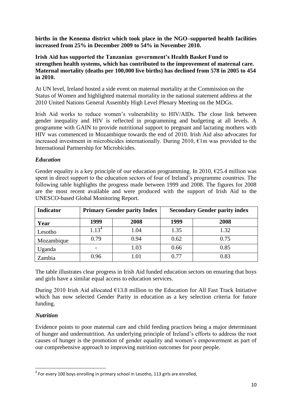**births in the Kenema district which took place in the NGO–supported health facilities increased from 25% in December 2009 to 54% in November 2010.**

#### **Irish Aid has supported the Tanzanian government's Health Basket Fund to strengthen health systems, which has contributed to the improvement of maternal care. Maternal mortality (deaths per 100,000 live births) has declined from 578 in 2005 to 454 in 2010.**

At UN level, Ireland hosted a side event on maternal mortality at the Commission on the Status of Women and highlighted maternal mortality in the national statement address at the 2010 United Nations General Assembly High Level Plenary Meeting on the MDGs.

Irish Aid works to reduce women"s vulnerability to HIV/AIDs. The close link between gender inequality and HIV is reflected in programming and budgeting at all levels. A programme with GAIN to provide nutritional support to pregnant and lactating mothers with HIV was commenced in Mozambique towards the end of 2010. Irish Aid also advocates for increased investment in microbicides internationally. During 2010,  $\epsilon$ 1m was provided to the International Partnership for Microbicides.

#### *Education*

Gender equality is a key principle of our education programming. In 2010,  $\epsilon$ 25.4 million was spent in direct support to the education sectors of four of Ireland"s programme countries. The following table highlights the progress made between 1999 and 2008. The figures for 2008 are the most recent available and were produced with the support of Irish Aid to the UNESCO-based Global Monitoring Report.

| <b>Indicator</b> |            | <b>Primary Gender parity Index</b> | <b>Secondary Gender parity index</b> |      |  |
|------------------|------------|------------------------------------|--------------------------------------|------|--|
| Year             | 1999       | 2008                               | 1999                                 | 2008 |  |
| Lesotho          | $1.13^{4}$ | 1.04                               | 1.35                                 | 1.32 |  |
| Mozambique       | 0.79       | 0.94                               | 0.62                                 | 0.75 |  |
| Uganda           |            | 1.03                               | 0.66                                 | 0.85 |  |
| Zambia           | 0.96       | 1.01                               | 0.77                                 | 0.83 |  |

The table illustrates clear progress in Irish Aid funded education sectors on ensuring that boys and girls have a similar equal access to education services.

During 2010 Irish Aid allocated  $\epsilon$ 13.8 million to the Education for All Fast Track Initiative which has now selected Gender Parity in education as a key selection criteria for future funding.

#### *Nutrition*

Evidence points to poor maternal care and child feeding practices being a major determinant of hunger and undernutrition. An underlying principle of Ireland"s efforts to address the root causes of hunger is the promotion of gender equality and women"s empowerment as part of our comprehensive approach to improving nutrition outcomes for poor people.

**<sup>.</sup>**  $<sup>4</sup>$  For every 100 boys enrolling in primary school in Lesotho, 113 girls are enrolled,</sup>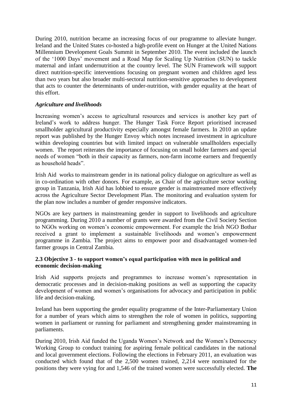During 2010, nutrition became an increasing focus of our programme to alleviate hunger. Ireland and the United States co-hosted a high-profile event on Hunger at the United Nations Millennium Development Goals Summit in September 2010. The event included the launch of the "1000 Days" movement and a Road Map for Scaling Up Nutrition (SUN) to tackle maternal and infant undernutrition at the country level. The SUN Framework will support direct nutrition-specific interventions focusing on pregnant women and children aged less than two years but also broader multi-sectoral nutrition-sensitive approaches to development that acts to counter the determinants of under-nutrition, with gender equality at the heart of this effort.

#### *Agriculture and livelihoods*

Increasing women's access to agricultural resources and services is another key part of Ireland"s work to address hunger. The Hunger Task Force Report prioritised increased smallholder agricultural productivity especially amongst female farmers. In 2010 an update report was published by the Hunger Envoy which notes increased investment in agriculture within developing countries but with limited impact on vulnerable smallholders especially women. The report reiterates the importance of focusing on small holder farmers and special needs of women "both in their capacity as farmers, non-farm income earners and frequently as household heads".

Irish Aid works to mainstream gender in its national policy dialogue on agriculture as well as in co-ordination with other donors. For example, as Chair of the agriculture sector working group in Tanzania, Irish Aid has lobbied to ensure gender is mainstreamed more effectively across the Agriculture Sector Development Plan. The monitoring and evaluation system for the plan now includes a number of gender responsive indicators.

NGOs are key partners in mainstreaming gender in support to livelihoods and agriculture programming. During 2010 a number of grants were awarded from the Civil Society Section to NGOs working on women"s economic empowerment. For example the Irish NGO Bothar received a grant to implement a sustainable livelihoods and women"s empowerment programme in Zambia. The project aims to empower poor and disadvantaged women-led farmer groups in Central Zambia.

#### **2.3 Objective 3 - to support women's equal participation with men in political and economic decision-making**

Irish Aid supports projects and programmes to increase women"s representation in democratic processes and in decision-making positions as well as supporting the capacity development of women and women"s organisations for advocacy and participation in public life and decision-making.

Ireland has been supporting the gender equality programme of the Inter-Parliamentary Union for a number of years which aims to strengthen the role of women in politics, supporting women in parliament or running for parliament and strengthening gender mainstreaming in parliaments.

During 2010, Irish Aid funded the Uganda Women"s Network and the Women"s Democracy Working Group to conduct training for aspiring female political candidates in the national and local government elections. Following the elections in February 2011, an evaluation was conducted which found that of the 2,500 women trained, 2,214 were nominated for the positions they were vying for and 1,546 of the trained women were successfully elected. **The**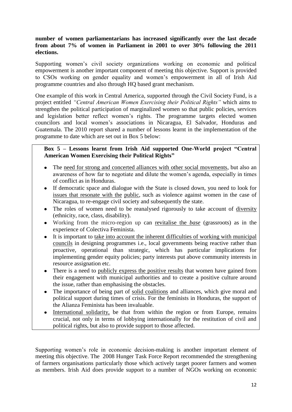#### **number of women parliamentarians has increased significantly over the last decade from about 7% of women in Parliament in 2001 to over 30% following the 2011 elections.**

Supporting women's civil society organizations working on economic and political empowerment is another important component of meeting this objective. Support is provided to CSOs working on gender equality and women"s empowerment in all of Irish Aid programme countries and also through HQ based grant mechanism.

One example of this work in Central America, supported through the Civil Society Fund, is a project entitled *"Central American Women Exercising their Political Rights"* which aims to strengthen the political participation of marginalized women so that public policies, services and legislation better reflect women"s rights. The programme targets elected women councilors and local women"s associations in Nicaragua, El Salvador, Honduras and Guatemala. The 2010 report shared a number of lessons learnt in the implementation of the programme to date which are set out in Box 5 below:

#### **Box 5 – Lessons learnt from Irish Aid supported One-World project "Central American Women Exercising their Political Rights"**

- The need for strong and concerted alliances with other social movements, but also an  $\bullet$ awareness of how far to negotiate and dilute the women"s agenda, especially in times of conflict as in Honduras.
- If democratic space and dialogue with the State is closed down, you need to look for  $\bullet$ issues that resonate with the public, such as violence against women in the case of Nicaragua, to re-engage civil society and subsequently the state.
- The roles of women need to be reanalysed rigorously to take account of diversity (ethnicity, race, class, disability).
- Working from the micro-region up can revitalise the *base* (grassroots) as in the experience of Colectiva Feminista.
- It is important to take into account the inherent difficulties of working with municipal councils in designing programmes i.e., local governments being reactive rather than proactive, operational than strategic, which has particular implications for implementing gender equity policies; party interests put above community interests in resource assignation etc.
- There is a need to publicly express the positive results that women have gained from  $\bullet$ their engagement with municipal authorities and to create a positive culture around the issue, rather than emphasising the obstacles.
- The importance of being part of solid coalitions and alliances, which give moral and  $\bullet$ political support during times of crisis. For the feminists in Honduras, the support of the Alianza Feminista has been invaluable.
- International solidarity, be that from within the region or from Europe, remains crucial, not only in terms of lobbying internationally for the restitution of civil and political rights, but also to provide support to those affected.

Supporting women's role in economic decision-making is another important element of meeting this objective. The 2008 Hunger Task Force Report recommended the strengthening of farmers organisations particularly those which actively target poorer farmers and women as members. Irish Aid does provide support to a number of NGOs working on economic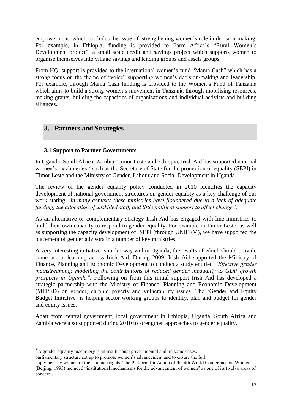empowerment which includes the issue of strengthening women's role in decision-making. For example, in Ethiopia, funding is provided to Farm Africa's "Rural Women's Development project", a small scale credit and savings project which supports women to organise themselves into village savings and lending groups and assets groups.

From HQ, support is provided to the international women's fund "Mama Cash" which has a strong focus on the theme of "voice" supporting women"s decision-making and leadership. For example, through Mama Cash funding is provided to the Women"s Fund of Tanzania which aims to build a strong women's movement in Tanzania through mobilising resources, making grants, building the capacities of organisations and individual activists and building alliances.

# **3. Partners and Strategies**

#### **3.1 Support to Partner Governments**

In Uganda, South Africa, Zambia, Timor Leste and Ethiopia, Irish Aid has supported national women's machineries<sup>5</sup> such as the Secretary of State for the promotion of equality (SEPI) in Timor Leste and the Ministry of Gender, Labour and Social Development in Uganda.

The review of the gender equality policy conducted in 2010 identifies the capacity development of national government structures on gender equality as a key challenge of our work stating *"in many contexts these ministries have floundered due to a lack of adequate funding, the allocation of unskilled staff, and little political support to affect change".*

As an alternative or complementary strategy Irish Aid has engaged with line ministries to build their own capacity to respond to gender equality. For example in Timor Leste, as well as supporting the capacity development of SEPI (through UNIFEM), we have supported the placement of gender advisors in a number of key ministries.

A very interesting initiative is under way within Uganda, the results of which should provide some useful learning across Irish Aid. During 2009, Irish Aid supported the Ministry of Finance, Planning and Economic Development to conduct a study entitled *"Effective gender mainstreaming: modelling the contributions of reduced gender inequality to GDP growth prospects in Uganda".* Following on from this initial support Irish Aid has developed a strategic partnership with the Ministry of Finance, Planning and Economic Development (MFPED) on gender, chronic poverty and vulnerability issues. The "Gender and Equity Budget Initiative' is helping sector working groups to identify, plan and budget for gender and equity issues.

Apart from central government, local government in Ethiopia, Uganda, South Africa and Zambia were also supported during 2010 to strengthen approaches to gender equality.

1

<sup>&</sup>lt;sup>5</sup> A gender equality machinery is an institutional governmental and, in some cases,

parliamentary structure set up to promote women"s advancement and to ensure the full

enjoyment by women of their human rights. The Platform for Action of the 4th World Conference on Women (Beijing, 1995) included "institutional mechanisms for the advancement of women" as one of its twelve areas of concern.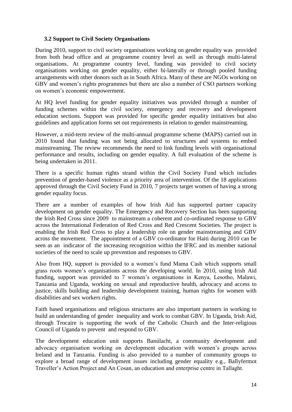#### **3.2 Support to Civil Society Organisations**

During 2010, support to civil society organisations working on gender equality was provided from both head office and at programme country level as well as through multi-lateral organisations. At programme country level, funding was provided to civil society organisations working on gender equality, either bi-laterally or through pooled funding arrangements with other donors such as in South Africa. Many of these are NGOs working on GBV and women's rights programmes but there are also a number of CSO partners working on women"s economic empowerment.

At HQ level funding for gender equality initiatives was provided through a number of funding schemes within the civil society, emergency and recovery and development education sections. Support was provided for specific gender equality initiatives but also guidelines and application forms set out requirements in relation to gender mainstreaming.

However, a mid-term review of the multi-annual programme scheme (MAPS) carried out in 2010 found that funding was not being allocated to structures and systems to embed mainstreaming. The review recommends the need to link funding levels with organisational performance and results, including on gender equality. A full evaluation of the scheme is being undertaken in 2011.

There is a specific human rights strand within the Civil Society Fund which includes prevention of gender-based violence as a priority area of intervention. Of the 18 applications approved through the Civil Society Fund in 2010, 7 projects target women of having a strong gender equality focus.

There are a number of examples of how Irish Aid has supported partner capacity development on gender equality. The Emergency and Recovery Section has been supporting the Irish Red Cross since 2009 to mainstream a coherent and co-ordinated response to GBV across the International Federation of Red Cross and Red Crescent Societies. The project is enabling the Irish Red Cross to play a leadership role on gender mainstreaming and GBV across the movement. The appointment of a GBV co-ordinator for Haiti during 2010 can be seen as an indicator of the increasing recognition within the IFRC and its member national societies of the need to scale up prevention and responses to GBV.

Also from HQ, support is provided to a women"s fund Mama Cash which supports small grass roots women"s organisations across the developing world. In 2010, using Irish Aid funding, support was provided to 7 women"s organisations in Kenya, Lesotho, Malawi, Tanzania and Uganda, working on sexual and reproductive health, advocacy and access to justice, skills building and leadership development training, human rights for women with disabilities and sex workers rights.

Faith based organisations and religious structures are also important partners in working to build an understanding of gender inequality and work to combat GBV. In Uganda, Irish Aid, through Trocaire is supporting the work of the Catholic Church and the Inter-religious Council of Uganda to prevent and respond to GBV.

The development education unit supports Banúlacht, a community development and advocacy organisation working on development education with women"s groups across Ireland and in Tanzania. Funding is also provided to a number of community groups to explore a broad range of development issues including gender equality e.g., Ballyfermot Traveller"s Action Project and An Cosan, an education and enterprise centre in Tallaght.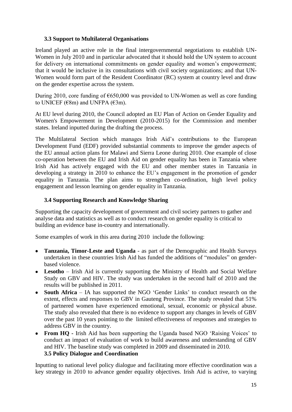#### **3.3 Support to Multilateral Organisations**

Ireland played an active role in the final intergovernmental negotiations to establish UN-Women in July 2010 and in particular advocated that it should hold the UN system to account for delivery on international commitments on gender equality and women's empowerment; that it would be inclusive in its consultations with civil society organizations; and that UN-Women would form part of the Resident Coordinator (RC) system at country level and draw on the gender expertise across the system.

During 2010, core funding of  $\epsilon$ 650,000 was provided to UN-Women as well as core funding to UNICEF ( $\varepsilon$ 8m) and UNFPA ( $\varepsilon$ 3m).

At EU level during 2010, the Council adopted an EU Plan of Action on Gender Equality and Women's Empowerment in Development (2010-2015) for the Commission and member states. Ireland inputted during the drafting the process.

The Multilateral Section which manages Irish Aid"s contributions to the European Development Fund (EDF) provided substantial comments to improve the gender aspects of the EU annual action plans for Malawi and Sierra Leone during 2010. One example of close co-operation between the EU and Irish Aid on gender equality has been in Tanzania where Irish Aid has actively engaged with the EU and other member states in Tanzania in developing a strategy in 2010 to enhance the EU"s engagement in the promotion of gender equality in Tanzania. The plan aims to strengthen co-ordination, high level policy engagement and lesson learning on gender equality in Tanzania.

#### **3.4 Supporting Research and Knowledge Sharing**

Supporting the capacity development of government and civil society partners to gather and analyse data and statistics as well as to conduct research on gender equality is critical to building an evidence base in-country and internationally.

Some examples of work in this area during 2010 include the following:

- **Tanzania, Timor-Leste and Uganda**  as part of the Demographic and Health Surveys undertaken in these countries Irish Aid has funded the additions of "modules" on genderbased violence.
- **Lesotho** Irish Aid is currently supporting the Ministry of Health and Social Welfare Study on GBV and HIV. The study was undertaken in the second half of 2010 and the results will be published in 2011.
- **South Africa** IA has supported the NGO 'Gender Links' to conduct research on the extent, effects and responses to GBV in Gauteng Province. The study revealed that 51% of partnered women have experienced emotional, sexual, economic or physical abuse. The study also revealed that there is no evidence to support any changes in levels of GBV over the past 10 years pointing to the limited effectiveness of responses and strategies to address GBV in the country.
- From HQ **-** Irish Aid has been supporting the Uganda based NGO 'Raising Voices' to conduct an impact of evaluation of work to build awareness and understanding of GBV and HIV. The baseline study was completed in 2009 and disseminated in 2010. **3.5 Policy Dialogue and Coordination**

Inputting to national level policy dialogue and facilitating more effective coordination was a key strategy in 2010 to advance gender equality objectives. Irish Aid is active, to varying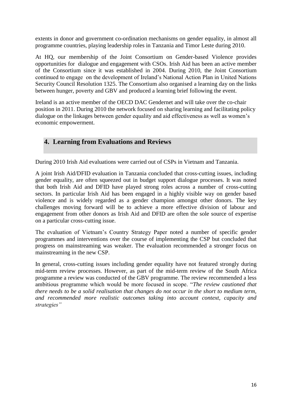extents in donor and government co-ordination mechanisms on gender equality, in almost all programme countries, playing leadership roles in Tanzania and Timor Leste during 2010.

At HQ, our membership of the Joint Consortium on Gender-based Violence provides opportunities for dialogue and engagement with CSOs. Irish Aid has been an active member of the Consortium since it was established in 2004. During 2010, the Joint Consortium continued to engage on the development of Ireland"s National Action Plan in United Nations Security Council Resolution 1325. The Consortium also organised a learning day on the links between hunger, poverty and GBV and produced a learning brief following the event.

Ireland is an active member of the OECD DAC Gendernet and will take over the co-chair position in 2011. During 2010 the network focused on sharing learning and facilitating policy dialogue on the linkages between gender equality and aid effectiveness as well as women"s economic empowerment.

# **4. Learning from Evaluations and Reviews**

During 2010 Irish Aid evaluations were carried out of CSPs in Vietnam and Tanzania.

A joint Irish Aid/DFID evaluation in Tanzania concluded that cross-cutting issues, including gender equality, are often squeezed out in budget support dialogue processes. It was noted that both Irish Aid and DFID have played strong roles across a number of cross-cutting sectors. In particular Irish Aid has been engaged in a highly visible way on gender based violence and is widely regarded as a gender champion amongst other donors. The key challenges moving forward will be to achieve a more effective division of labour and engagement from other donors as Irish Aid and DFID are often the sole source of expertise on a particular cross-cutting issue.

The evaluation of Vietnam"s Country Strategy Paper noted a number of specific gender programmes and interventions over the course of implementing the CSP but concluded that progress on mainstreaming was weaker. The evaluation recommended a stronger focus on mainstreaming in the new CSP.

In general, cross-cutting issues including gender equality have not featured strongly during mid-term review processes. However, as part of the mid-term review of the South Africa programme a review was conducted of the GBV programme. The review recommended a less ambitious programme which would be more focused in scope. "*The review cautioned that there needs to be a solid realisation that changes do not occur in the short to medium term, and recommended more realistic outcomes taking into account context, capacity and strategies"*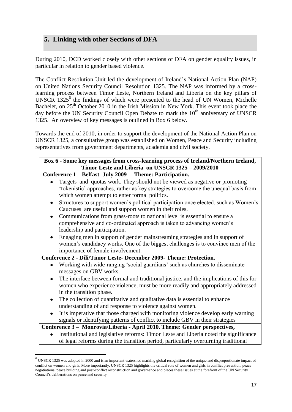# **5. Linking with other Sections of DFA**

During 2010, DCD worked closely with other sections of DFA on gender equality issues, in particular in relation to gender based violence.

The Conflict Resolution Unit led the development of Ireland"s National Action Plan (NAP) on United Nations Security Council Resolution 1325. The NAP was informed by a crosslearning process between Timor Leste, Northern Ireland and Liberia on the key pillars of UNSCR 1325<sup>6</sup> the findings of which were presented to the head of UN Women, Michelle Bachelet, on 25<sup>th</sup> October 2010 in the Irish Mission in New York. This event took place the day before the UN Security Council Open Debate to mark the  $10<sup>th</sup>$  anniversary of UNSCR 1325. An overview of key messages is outlined in Box 6 below.

Towards the end of 2010, in order to support the development of the National Action Plan on UNSCR 1325, a consultative group was established on Women, Peace and Security including representatives from government departments, academia and civil society.

| Box 6 - Some key messages from cross-learning process of Ireland/Northern Ireland,<br>Timor Leste and Liberia on UNSCR 1325 - 2009/2010 |  |  |  |  |  |  |
|-----------------------------------------------------------------------------------------------------------------------------------------|--|--|--|--|--|--|
|                                                                                                                                         |  |  |  |  |  |  |
| Conference 1 – Belfast -July 2009 – Theme: Participation.                                                                               |  |  |  |  |  |  |
|                                                                                                                                         |  |  |  |  |  |  |
| Targets and quotas work. They should not be viewed as negative or promoting                                                             |  |  |  |  |  |  |
| 'tokenistic' approaches, rather as key strategies to overcome the unequal basis from                                                    |  |  |  |  |  |  |
| which women attempt to enter formal politics.                                                                                           |  |  |  |  |  |  |
| Structures to support women's political participation once elected, such as Women's<br>٠                                                |  |  |  |  |  |  |
| Caucuses are useful and support women in their roles.                                                                                   |  |  |  |  |  |  |
| Communications from grass-roots to national level is essential to ensure a                                                              |  |  |  |  |  |  |
| comprehensive and co-ordinated approach is taken to advancing women's                                                                   |  |  |  |  |  |  |
| leadership and participation.                                                                                                           |  |  |  |  |  |  |
| Engaging men in support of gender mainstreaming strategies and in support of                                                            |  |  |  |  |  |  |
| women's candidacy works. One of the biggest challenges is to convince men of the                                                        |  |  |  |  |  |  |
| importance of female involvement.                                                                                                       |  |  |  |  |  |  |
| Conference 2 - Dili/Timor Leste- December 2009- Theme: Protection.                                                                      |  |  |  |  |  |  |
| Working with wide-ranging 'social guardians' such as churches to disseminate                                                            |  |  |  |  |  |  |
| messages on GBV works.                                                                                                                  |  |  |  |  |  |  |
| The interface between formal and traditional justice, and the implications of this for<br>٠                                             |  |  |  |  |  |  |
|                                                                                                                                         |  |  |  |  |  |  |
| women who experience violence, must be more readily and appropriately addressed                                                         |  |  |  |  |  |  |
| in the transition phase.                                                                                                                |  |  |  |  |  |  |
| The collection of quantitative and qualitative data is essential to enhance<br>$\bullet$                                                |  |  |  |  |  |  |
| understanding of and response to violence against women.                                                                                |  |  |  |  |  |  |
| It is imperative that those charged with monitoring violence develop early warning                                                      |  |  |  |  |  |  |
| signals or identifying patterns of conflict to include GBV in their strategies                                                          |  |  |  |  |  |  |
| Conference 3 - Monrovia/Liberia - April 2010. Theme: Gender perspectives,                                                               |  |  |  |  |  |  |
| Institutional and legislative reforms: Timor Leste and Liberia noted the significance                                                   |  |  |  |  |  |  |
| of legal reforms during the transition period, particularly overturning traditional                                                     |  |  |  |  |  |  |

UNSCR 1325 was adopted in 2000 and is an important watershed marking global recognition of the unique and disproportionate impact of UNSCR 1325 was adopted in 2000 and is an important watershed marking global recognition o conflict on women and girls. More importantly, UNSCR 1325 highlights the critical role of women and girls in conflict prevention, peace negotiations, peace building and post-conflict reconstruction and governance and places these issues at the forefront of the UN Security Council"s deliberations on peace and security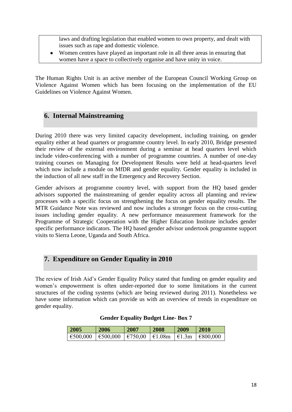laws and drafting legislation that enabled women to own property, and dealt with issues such as rape and domestic violence.

Women centres have played an important role in all three areas in ensuring that women have a space to collectively organise and have unity in voice.

The Human Rights Unit is an active member of the European Council Working Group on Violence Against Women which has been focusing on the implementation of the EU Guidelines on Violence Against Women.

# **6. Internal Mainstreaming**

During 2010 there was very limited capacity development, including training, on gender equality either at head quarters or programme country level. In early 2010, Bridge presented their review of the external environment during a seminar at head quarters level which include video-conferencing with a number of programme countries. A number of one-day training courses on Managing for Development Results were held at head-quarters level which now include a module on MfDR and gender equality. Gender equality is included in the induction of all new staff in the Emergency and Recovery Section.

Gender advisors at programme country level, with support from the HQ based gender advisors supported the mainstreaming of gender equality across all planning and review processes with a specific focus on strengthening the focus on gender equality results. The MTR Guidance Note was reviewed and now includes a stronger focus on the cross-cutting issues including gender equality. A new performance measurement framework for the Programme of Strategic Cooperation with the Higher Education Institute includes gender specific performance indicators. The HQ based gender advisor undertook programme support visits to Sierra Leone, Uganda and South Africa.

# **7. Expenditure on Gender Equality in 2010**

The review of Irish Aid"s Gender Equality Policy stated that funding on gender equality and women"s empowerment is often under-reported due to some limitations in the current structures of the coding systems (which are being reviewed during 2011). Nonetheless we have some information which can provide us with an overview of trends in expenditure on gender equality.

| 2005                                                                                                                                 | 2006 | 2007 | 2008 | 2009 | <b>2010</b> |
|--------------------------------------------------------------------------------------------------------------------------------------|------|------|------|------|-------------|
| $ \,\epsilon_{500,000}\, \,\epsilon_{500,000}\, \,\epsilon_{750,00}\, \,\epsilon_{1.08m}\, \,\epsilon_{1.3m}\, \,\epsilon_{800,000}$ |      |      |      |      |             |

#### **Gender Equality Budget Line- Box 7**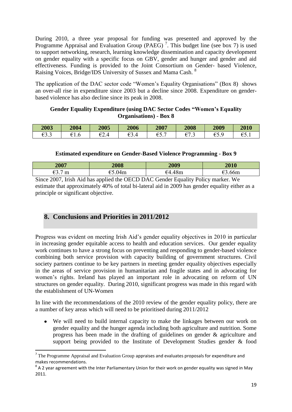During 2010, a three year proposal for funding was presented and approved by the Programme Appraisal and Evaluation Group (PAEG)<sup>7</sup>. This budget line (see box 7) is used to support networking, research, learning knowledge dissemination and capacity development on gender equality with a specific focus on GBV, gender and hunger and gender and aid effectiveness. Funding is provided to the Joint Consortium on Gender- based Violence, Raising Voices, Bridge/IDS University of Sussex and Mama Cash. <sup>8</sup>

The application of the DAC sector code "Women"s Equality Organisations" (Box 8) shows an over-all rise in expenditure since 2003 but a decline since 2008. Expenditure on genderbased violence has also decline since its peak in 2008.

#### **Gender Equality Expenditure (using DAC Sector Codes "Women's Equality Organisations) - Box 8**

| 2003              | 2004 | 2005                         | 2006            | 2007                                           | 2008              | 2009       | 2010                        |
|-------------------|------|------------------------------|-----------------|------------------------------------------------|-------------------|------------|-----------------------------|
| oo o<br>⊨<br>UJ.J | ∪. ∟ | ΩO<br>$\overline{ }$<br>◡▱.− | ΩO<br>⊨<br>∪J.⊤ | $\overline{\phantom{0}}$<br>ΩF<br>÷٠<br>◡◡ . ៸ | oπ<br>⊨<br>◡ ៸ .◡ | ⊨<br>◡◡ .∍ | $\sim$ $\sim$<br>€≺<br>◡◡.⊥ |

#### **Estimated expenditure on Gender-Based Violence Programming - Box 9**

| 2007                                                                             | 2008   | 2009   | 2010   |  |  |  |  |
|----------------------------------------------------------------------------------|--------|--------|--------|--|--|--|--|
|                                                                                  | €5.04m | €4.48m | €3.66m |  |  |  |  |
| Since 2007. Irish Aid has applied the OECD DAC Gender Equality Policy marker. We |        |        |        |  |  |  |  |

Since 2007, Irish Aid has applied the OECD DAC Gender Equality Policy marker. We estimate that approximately 40% of total bi-lateral aid in 2009 has gender equality either as a principle or significant objective.

# **8. Conclusions and Priorities in 2011/2012**

**.** 

Progress was evident on meeting Irish Aid's gender equality objectives in 2010 in particular in increasing gender equitable access to health and education services. Our gender equality work continues to have a strong focus on preventing and responding to gender-based violence combining both service provision with capacity building of government structures. Civil society partners continue to be key partners in meeting gender equality objectives especially in the areas of service provision in humanitarian and fragile states and in advocating for women"s rights. Ireland has played an important role in advocating on reform of UN structures on gender equality. During 2010, significant progress was made in this regard with the establishment of UN-Women

In line with the recommendations of the 2010 review of the gender equality policy, there are a number of key areas which will need to be prioritised during 2011/2012

We will need to build internal capacity to make the linkages between our work on gender equality and the hunger agenda including both agriculture and nutrition. Some progress has been made in the drafting of guidelines on gender & agriculture and support being provided to the Institute of Development Studies gender & food

 $<sup>7</sup>$  The Programme Appraisal and Evaluation Group appraises and evaluates proposals for expenditure and</sup> makes recommendations.

 $8$  A 2 year agreement with the Inter Parliamentary Union for their work on gender equality was signed in May 2011.